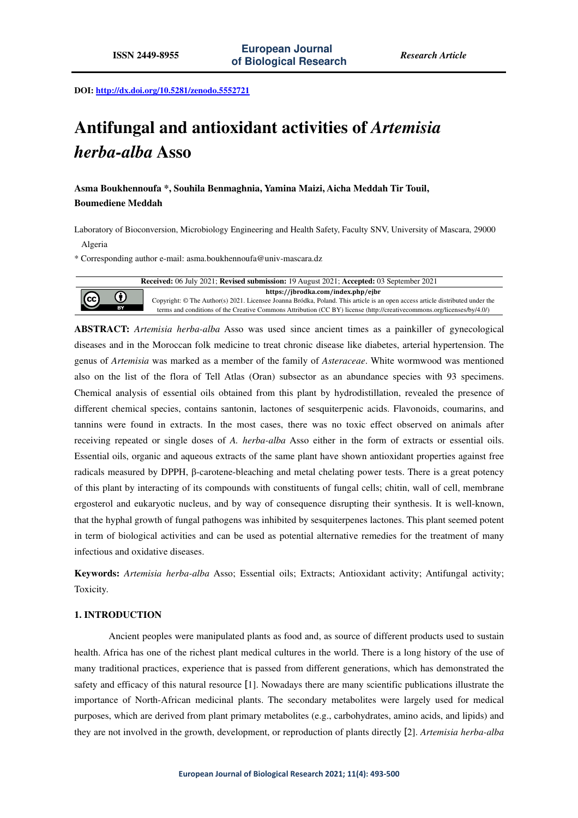**DOI: http://dx.doi.org/10.5281/zenodo.5552721** 

# **Antifungal and antioxidant activities of** *Artemisia herba-alba* **Asso**

**Asma Boukhennoufa \*, Souhila Benmaghnia, Yamina Maizi, Aicha Meddah Tir Touil, Boumediene Meddah** 

Laboratory of Bioconversion, Microbiology Engineering and Health Safety, Faculty SNV, University of Mascara, 29000 Algeria

\* Corresponding author e-mail: asma.boukhennoufa@univ-mascara.dz



**ABSTRACT:** *Artemisia herba-alba* Asso was used since ancient times as a painkiller of gynecological diseases and in the Moroccan folk medicine to treat chronic disease like diabetes, arterial hypertension. The genus of *Artemisia* was marked as a member of the family of *Asteraceae*. White wormwood was mentioned also on the list of the flora of Tell Atlas (Oran) subsector as an abundance species with 93 specimens. Chemical analysis of essential oils obtained from this plant by hydrodistillation, revealed the presence of different chemical species, contains santonin, lactones of sesquiterpenic acids. Flavonoids, coumarins, and tannins were found in extracts. In the most cases, there was no toxic effect observed on animals after receiving repeated or single doses of *A. herba-alba* Asso either in the form of extracts or essential oils. Essential oils, organic and aqueous extracts of the same plant have shown antioxidant properties against free radicals measured by DPPH, β-carotene-bleaching and metal chelating power tests. There is a great potency of this plant by interacting of its compounds with constituents of fungal cells; chitin, wall of cell, membrane ergosterol and eukaryotic nucleus, and by way of consequence disrupting their synthesis. It is well-known, that the hyphal growth of fungal pathogens was inhibited by sesquiterpenes lactones. This plant seemed potent in term of biological activities and can be used as potential alternative remedies for the treatment of many infectious and oxidative diseases.

**Keywords:** *Artemisia herba-alba* Asso; Essential oils; Extracts; Antioxidant activity; Antifungal activity; Toxicity.

# **1. INTRODUCTION**

Ancient peoples were manipulated plants as food and, as source of different products used to sustain health. Africa has one of the richest plant medical cultures in the world. There is a long history of the use of many traditional practices, experience that is passed from different generations, which has demonstrated the safety and efficacy of this natural resource [1]. Nowadays there are many scientific publications illustrate the importance of North-African medicinal plants. The secondary metabolites were largely used for medical purposes, which are derived from plant primary metabolites (e.g., carbohydrates, amino acids, and lipids) and they are not involved in the growth, development, or reproduction of plants directly [2]. *Artemisia herba-alba*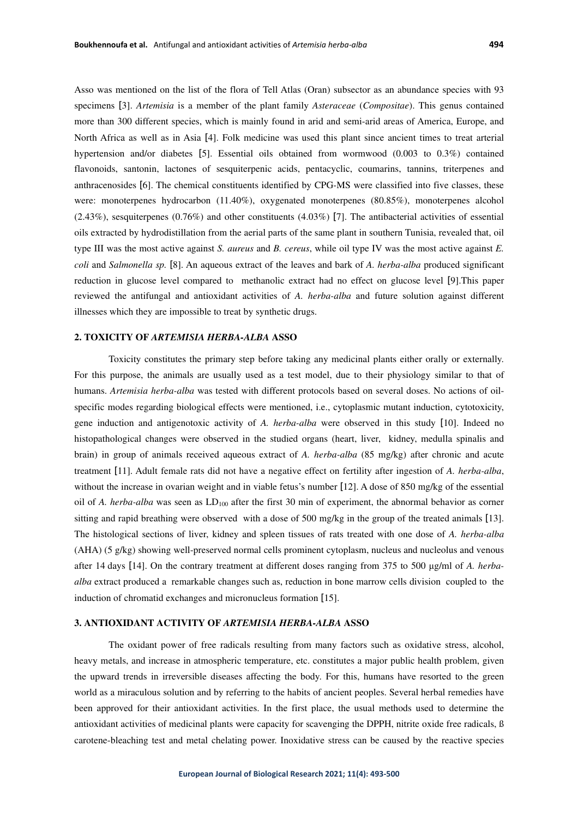Asso was mentioned on the list of the flora of Tell Atlas (Oran) subsector as an abundance species with 93 specimens [3]. *Artemisia* is a member of the plant family *Asteraceae* (*Compositae*). This genus contained more than 300 different species, which is mainly found in arid and semi-arid areas of America, Europe, and North Africa as well as in Asia [4]. Folk medicine was used this plant since ancient times to treat arterial hypertension and/or diabetes [5]. Essential oils obtained from wormwood (0.003 to 0.3%) contained flavonoids, santonin, lactones of sesquiterpenic acids, pentacyclic, coumarins, tannins, triterpenes and anthracenosides [6]. The chemical constituents identified by CPG-MS were classified into five classes, these were: monoterpenes hydrocarbon (11.40%), oxygenated monoterpenes (80.85%), monoterpenes alcohol (2.43%), sesquiterpenes (0.76%) and other constituents (4.03%) [7]. The antibacterial activities of essential oils extracted by hydrodistillation from the aerial parts of the same plant in southern Tunisia, revealed that, oil type III was the most active against *S. aureus* and *B. cereus*, while oil type IV was the most active against *E. coli* and *Salmonella sp.* [8]. An aqueous extract of the leaves and bark of *A. herba-alba* produced significant reduction in glucose level compared to methanolic extract had no effect on glucose level [9].This paper reviewed the antifungal and antioxidant activities of *A. herba-alba* and future solution againstdifferent illnesses which they are impossible to treat by synthetic drugs.

### **2. TOXICITY OF** *ARTEMISIA HERBA-ALBA* **ASSO**

Toxicity constitutes the primary step before taking any medicinal plants either orally or externally. For this purpose, the animals are usually used as a test model, due to their physiology similar to that of humans. *Artemisia herba-alba* was tested with different protocols based on several doses. No actions of oilspecific modes regarding biological effects were mentioned, i.e., cytoplasmic mutant induction, cytotoxicity, gene induction and antigenotoxic activity of *A. herba-alba* were observed in this study [10]. Indeed no histopathological changes were observed in the studied organs (heart, liver, kidney, medulla spinalis and brain) in group of animals received aqueous extract of *A. herba-alba* (85 mg/kg) after chronic and acute treatment [11]. Adult female rats did not have a negative effect on fertility after ingestion of *A. herba-alba*, without the increase in ovarian weight and in viable fetus's number [12]. A dose of 850 mg/kg of the essential oil of *A. herba-alba* was seen as LD<sub>100</sub> after the first 30 min of experiment, the abnormal behavior as corner sitting and rapid breathing were observed with a dose of 500 mg/kg in the group of the treated animals [13]. The histological sections of liver, kidney and spleen tissues of rats treated with one dose of *A. herba-alba*  (AHA) (5 g/kg) showing well-preserved normal cells prominent cytoplasm, nucleus and nucleolus and venous after 14 days [14]. On the contrary treatment at different doses ranging from 375 to 500 μg/ml of *A. herbaalba* extract produced a remarkable changes such as, reduction in bone marrow cells division coupled to the induction of chromatid exchanges and micronucleus formation [15].

## **3. ANTIOXIDANT ACTIVITY OF** *ARTEMISIA HERBA-ALBA* **ASSO**

The oxidant power of free radicals resulting from many factors such as oxidative stress, alcohol, heavy metals, and increase in atmospheric temperature, etc. constitutes a major public health problem, given the upward trends in irreversible diseases affecting the body. For this, humans have resorted to the green world as a miraculous solution and by referring to the habits of ancient peoples. Several herbal remedies have been approved for their antioxidant activities. In the first place, the usual methods used to determine the antioxidant activities of medicinal plants were capacity for scavenging the DPPH, nitrite oxide free radicals, ß carotene-bleaching test and metal chelating power. Inoxidative stress can be caused by the reactive species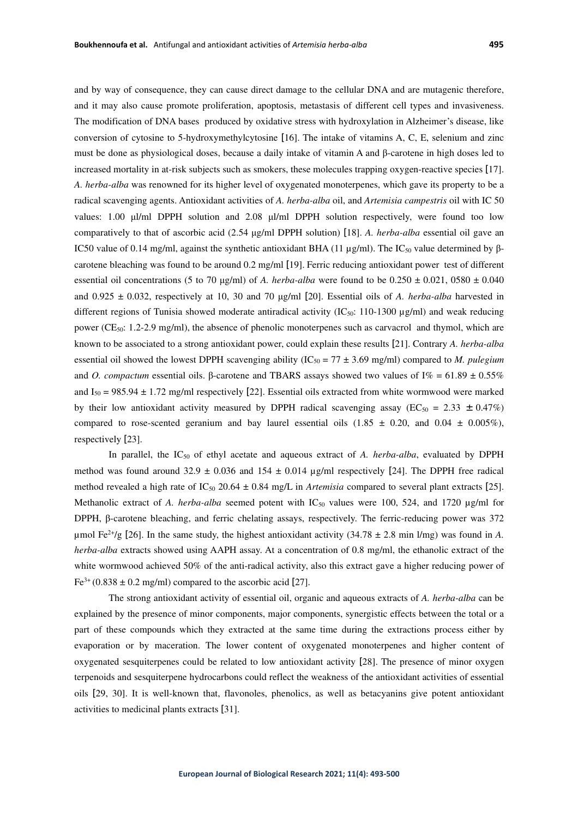and by way of consequence, they can cause direct damage to the cellular DNA and are mutagenic therefore, and it may also cause promote proliferation, apoptosis, metastasis of different cell types and invasiveness. The modification of DNA bases produced by oxidative stress with hydroxylation in Alzheimer's disease, like conversion of cytosine to 5-hydroxymethylcytosine [16]. The intake of vitamins A, C, E, selenium and zinc must be done as physiological doses, because a daily intake of vitamin A and β-carotene in high doses led to increased mortality in at-risk subjects such as smokers, these molecules trapping oxygen-reactive species [17]. *A. herba-alba* was renowned for its higher level of oxygenated monoterpenes, which gave its property to be a radical scavenging agents. Antioxidant activities of *A. herba-alba* oil, and *Artemisia campestris* oil with IC 50 values: 1.00 μl/ml DPPH solution and 2.08 μl/ml DPPH solution respectively, were found too low comparatively to that of ascorbic acid (2.54 μg/ml DPPH solution) [18]. *A. herba-alba* essential oil gave an IC50 value of 0.14 mg/ml, against the synthetic antioxidant BHA (11 μg/ml). The IC<sub>50</sub> value determined by βcarotene bleaching was found to be around 0.2 mg/ml [19]. Ferric reducing antioxidant power test of different essential oil concentrations (5 to 70 µg/ml) of *A. herba-alba* were found to be  $0.250 \pm 0.021$ , 0580  $\pm 0.040$ and 0.925 ± 0.032, respectively at 10, 30 and 70 μg/ml [20]. Essential oils of *A. herba-alba* harvested in different regions of Tunisia showed moderate antiradical activity  $(IC_{50}: 110-1300 \mu g/ml)$  and weak reducing power (CE<sub>50</sub>: 1.2-2.9 mg/ml), the absence of phenolic monoterpenes such as carvacrol and thymol, which are known to be associated to a strong antioxidant power, could explain these results [21]. Contrary *A. herba-alba* essential oil showed the lowest DPPH scavenging ability  $(IC_{50} = 77 \pm 3.69 \text{ mg/ml})$  compared to *M. pulegium* and *O. compactum* essential oils. β-carotene and TBARS assays showed two values of I% = 61.89 ± 0.55% and  $I_{50} = 985.94 \pm 1.72$  mg/ml respectively [22]. Essential oils extracted from white wormwood were marked by their low antioxidant activity measured by DPPH radical scavenging assay (EC<sub>50</sub> = 2.33  $\pm$  0.47%) compared to rose-scented geranium and bay laurel essential oils  $(1.85 \pm 0.20, \text{ and } 0.04 \pm 0.005\%)$ , respectively [23].

In parallel, the IC50 of ethyl acetate and aqueous extract of *A. herba-alba*, evaluated by DPPH method was found around 32.9  $\pm$  0.036 and 154  $\pm$  0.014 µg/ml respectively [24]. The DPPH free radical method revealed a high rate of  $IC_{50}$  20.64  $\pm$  0.84 mg/L in *Artemisia* compared to several plant extracts [25]. Methanolic extract of *A. herba-alba* seemed potent with IC<sub>50</sub> values were 100, 524, and 1720 µg/ml for DPPH, β-carotene bleaching, and ferric chelating assays, respectively. The ferric-reducing power was 372 µmol Fe<sup>2+</sup>/g [26]. In the same study, the highest antioxidant activity  $(34.78 \pm 2.8 \text{ min } l/\text{mg})$  was found in *A*. *herba-alba* extracts showed using AAPH assay. At a concentration of 0.8 mg/ml, the ethanolic extract of the white wormwood achieved 50% of the anti-radical activity, also this extract gave a higher reducing power of  $Fe<sup>3+</sup> (0.838 \pm 0.2$  mg/ml) compared to the ascorbic acid [27].

The strong antioxidant activity of essential oil, organic and aqueous extracts of *A. herba-alba* can be explained by the presence of minor components, major components, synergistic effects between the total or a part of these compounds which they extracted at the same time during the extractions process either by evaporation or by maceration. The lower content of oxygenated monoterpenes and higher content of oxygenated sesquiterpenes could be related to low antioxidant activity [28]. The presence of minor oxygen terpenoids and sesquiterpene hydrocarbons could reflect the weakness of the antioxidant activities of essential oils [29, 30]. It is well-known that, flavonoles, phenolics, as well as betacyanins give potent antioxidant activities to medicinal plants extracts [31].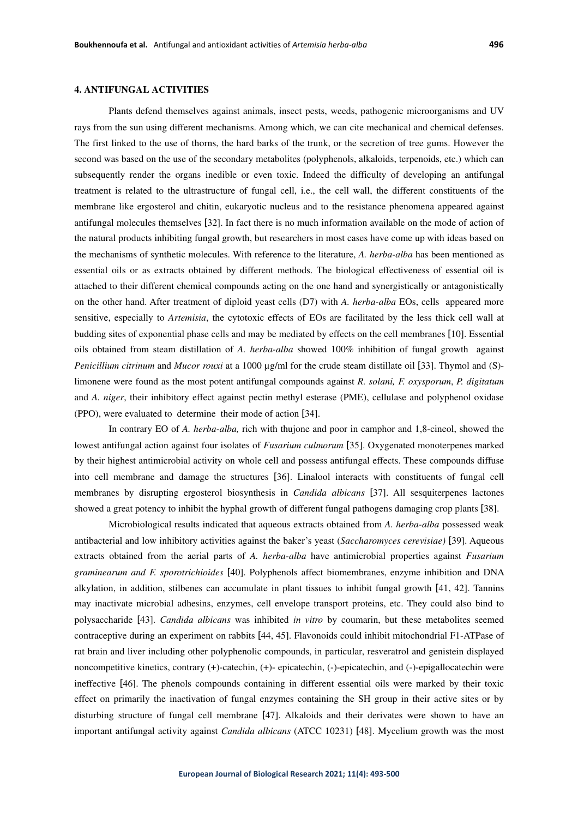# **4. ANTIFUNGAL ACTIVITIES**

Plants defend themselves against animals, insect pests, weeds, pathogenic microorganisms and UV rays from the sun using different mechanisms. Among which, we can cite mechanical and chemical defenses. The first linked to the use of thorns, the hard barks of the trunk, or the secretion of tree gums. However the second was based on the use of the secondary metabolites (polyphenols, alkaloids, terpenoids, etc.) which can subsequently render the organs inedible or even toxic. Indeed the difficulty of developing an antifungal treatment is related to the ultrastructure of fungal cell, i.e., the cell wall, the different constituents of the membrane like ergosterol and chitin, eukaryotic nucleus and to the resistance phenomena appeared against antifungal molecules themselves [32]. In fact there is no much information available on the mode of action of the natural products inhibiting fungal growth, but researchers in most cases have come up with ideas based on the mechanisms of synthetic molecules. With reference to the literature, *A. herba-alba* has been mentioned as essential oils or as extracts obtained by different methods. The biological effectiveness of essential oil is attached to their different chemical compounds acting on the one hand and synergistically or antagonistically on the other hand. After treatment of diploid yeast cells (D7) with *A. herba-alba* EOs, cells appeared more sensitive, especially to *Artemisia*, the cytotoxic effects of EOs are facilitated by the less thick cell wall at budding sites of exponential phase cells and may be mediated by effects on the cell membranes [10]. Essential oils obtained from steam distillation of *A. herba-alba* showed 100% inhibition of fungal growth against *Penicillium citrinum* and *Mucor rouxi* at a 1000  $\mu$ g/ml for the crude steam distillate oil [33]. Thymol and (S)limonene were found as the most potent antifungal compounds against *R. solani, F. oxysporum*, *P. digitatum* and *A. niger*, their inhibitory effect against pectin methyl esterase (PME), cellulase and polyphenol oxidase (PPO), were evaluated to determine their mode of action [34].

In contrary EO of *A. herba-alba,* rich with thujone and poor in camphor and 1,8-cineol, showed the lowest antifungal action against four isolates of *Fusarium culmorum* [35]. Oxygenated monoterpenes marked by their highest antimicrobial activity on whole cell and possess antifungal effects. These compounds diffuse into cell membrane and damage the structures [36]. Linalool interacts with constituents of fungal cell membranes by disrupting ergosterol biosynthesis in *Candida albicans* [37]. All sesquiterpenes lactones showed a great potency to inhibit the hyphal growth of different fungal pathogens damaging crop plants [38].

Microbiological results indicated that aqueous extracts obtained from *A. herba-alba* possessed weak antibacterial and low inhibitory activities against the baker's yeast (*Saccharomyces cerevisiae)* [39]. Aqueous extracts obtained from the aerial parts of *A. herba-alba* have antimicrobial properties against *Fusarium graminearum and F. sporotrichioides* [40]. Polyphenols affect biomembranes, enzyme inhibition and DNA alkylation, in addition, stilbenes can accumulate in plant tissues to inhibit fungal growth [41, 42]. Tannins may inactivate microbial adhesins, enzymes, cell envelope transport proteins, etc. They could also bind to polysaccharide [43]. *Candida albicans* was inhibited *in vitro* by coumarin, but these metabolites seemed contraceptive during an experiment on rabbits [44, 45]. Flavonoids could inhibit mitochondrial F1-ATPase of rat brain and liver including other polyphenolic compounds, in particular, resveratrol and genistein displayed noncompetitive kinetics, contrary (+)-catechin, (+)- epicatechin, (-)-epicatechin, and (-)-epigallocatechin were ineffective [46]. The phenols compounds containing in different essential oils were marked by their toxic effect on primarily the inactivation of fungal enzymes containing the SH group in their active sites or by disturbing structure of fungal cell membrane [47]. Alkaloids and their derivates were shown to have an important antifungal activity against *Candida albicans* (ATCC 10231) [48]. Mycelium growth was the most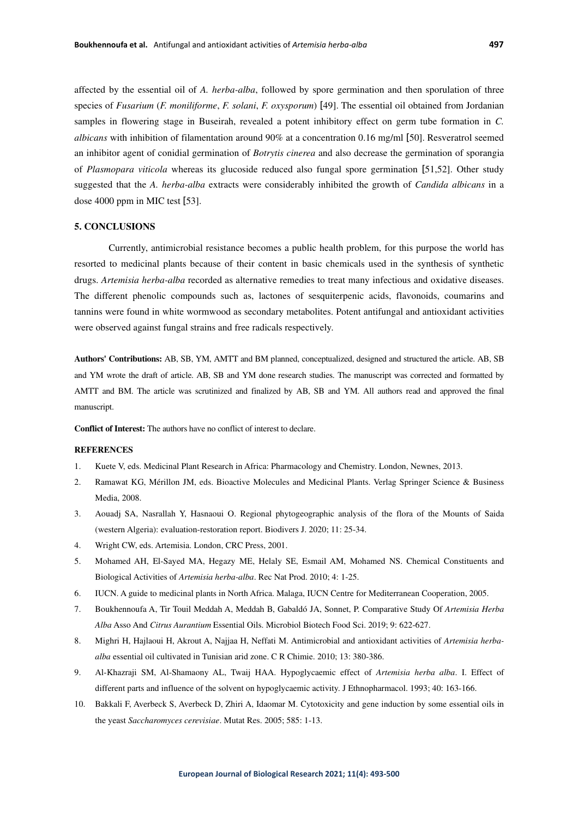affected by the essential oil of *A. herba-alba*, followed by spore germination and then sporulation of three species of *Fusarium* (*F. moniliforme*, *F. solani*, *F. oxysporum*) [49]. The essential oil obtained from Jordanian samples in flowering stage in Buseirah, revealed a potent inhibitory effect on germ tube formation in *C. albicans* with inhibition of filamentation around 90% at a concentration 0.16 mg/ml [50]. Resveratrol seemed an inhibitor agent of conidial germination of *Botrytis cinerea* and also decrease the germination of sporangia of *Plasmopara viticola* whereas its glucoside reduced also fungal spore germination [51,52]. Other study suggested that the *A. herba-alba* extracts were considerably inhibited the growth of *Candida albicans* in a dose 4000 ppm in MIC test [53].

## **5. CONCLUSIONS**

Currently, antimicrobial resistance becomes a public health problem, for this purpose the world has resorted to medicinal plants because of their content in basic chemicals used in the synthesis of synthetic drugs. *Artemisia herba-alba* recorded as alternative remedies to treat many infectious and oxidative diseases. The different phenolic compounds such as, lactones of sesquiterpenic acids, flavonoids, coumarins and tannins were found in white wormwood as secondary metabolites. Potent antifungal and antioxidant activities were observed against fungal strains and free radicals respectively.

**Authors' Contributions:** AB, SB, YM, AMTT and BM planned, conceptualized, designed and structured the article. AB, SB and YM wrote the draft of article. AB, SB and YM done research studies. The manuscript was corrected and formatted by AMTT and BM. The article was scrutinized and finalized by AB, SB and YM. All authors read and approved the final manuscript.

**Conflict of Interest:** The authors have no conflict of interest to declare.

### **REFERENCES**

- 1. Kuete V, eds. Medicinal Plant Research in Africa: Pharmacology and Chemistry. London, Newnes, 2013.
- 2. Ramawat KG, Mérillon JM, eds. Bioactive Molecules and Medicinal Plants. Verlag Springer Science & Business Media, 2008.
- 3. Aouadj SA, Nasrallah Y, Hasnaoui O. Regional phytogeographic analysis of the flora of the Mounts of Saida (western Algeria): evaluation-restoration report. Biodivers J. 2020; 11: 25-34.
- 4. Wright CW, eds. Artemisia. London, CRC Press, 2001.
- 5. Mohamed AH, El-Sayed MA, Hegazy ME, Helaly SE, Esmail AM, Mohamed NS. Chemical Constituents and Biological Activities of *Artemisia herba-alba*. Rec Nat Prod. 2010; 4: 1-25.
- 6. IUCN. A guide to medicinal plants in North Africa. Malaga, IUCN Centre for Mediterranean Cooperation, 2005.
- 7. Boukhennoufa A, Tir Touil Meddah A, Meddah B, Gabaldó JA, Sonnet, P. Comparative Study Of *Artemisia Herba Alba* Asso And *Citrus Aurantium* Essential Oils. Microbiol Biotech Food Sci. 2019; 9: 622-627.
- 8. Mighri H, Hajlaoui H, Akrout A, Najjaa H, Neffati M. Antimicrobial and antioxidant activities of *Artemisia herbaalba* essential oil cultivated in Tunisian arid zone. C R Chimie. 2010; 13: 380-386.
- 9. Al-Khazraji SM, Al-Shamaony AL, Twaij HAA. Hypoglycaemic effect of *Artemisia herba alba*. I. Effect of different parts and influence of the solvent on hypoglycaemic activity. J Ethnopharmacol. 1993; 40: 163-166.
- 10. Bakkali F, Averbeck S, Averbeck D, Zhiri A, Idaomar M. Cytotoxicity and gene induction by some essential oils in the yeast *Saccharomyces cerevisiae*. Mutat Res. 2005; 585: 1-13.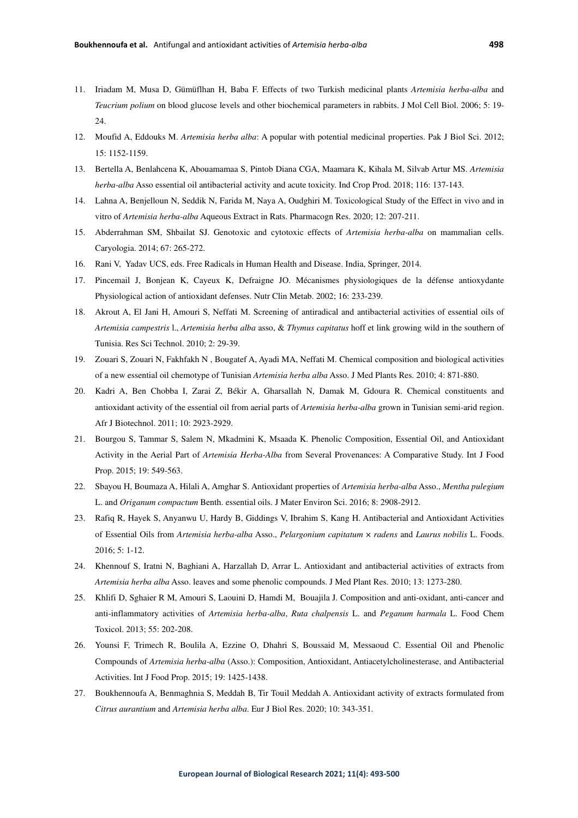- 11. Iriadam M, Musa D, Gümüflhan H, Baba F. Effects of two Turkish medicinal plants *Artemisia herba-alba* and *Teucrium polium* on blood glucose levels and other biochemical parameters in rabbits. J Mol Cell Biol. 2006; 5: 19-  $24.$
- 12. Moufid A, Eddouks M. *Artemisia herba alba*: A popular with potential medicinal properties. Pak J Biol Sci. 2012; 15: 1152-1159.
- 13. Bertella A, Benlahcena K, Abouamamaa S, Pintob Diana CGA, Maamara K, Kihala M, Silvab Artur MS. *Artemisia herba-alba* Asso essential oil antibacterial activity and acute toxicity. Ind Crop Prod. 2018; 116: 137-143.
- 14. Lahna A, Benjelloun N, Seddik N, Farida M, Naya A, Oudghiri M. Toxicological Study of the Effect in vivo and in vitro of *Artemisia herba-alba* Aqueous Extract in Rats. Pharmacogn Res. 2020; 12: 207-211.
- 15. Abderrahman SM, Shbailat SJ. Genotoxic and cytotoxic effects of *Artemisia herba-alba* on mammalian cells. Caryologia. 2014; 67: 265-272.
- 16. Rani V, Yadav UCS, eds. Free Radicals in Human Health and Disease. India, Springer, 2014.
- 17. Pincemail J, Bonjean K, Cayeux K, Defraigne JO. Mécanismes physiologiques de la défense antioxydante Physiological action of antioxidant defenses. Nutr Clin Metab. 2002; 16: 233-239.
- 18. Akrout A, El Jani H, Amouri S, Neffati M. Screening of antiradical and antibacterial activities of essential oils of *Artemisia campestris* l., *Artemisia herba alba* asso, & *Thymus capitatus* hoff et link growing wild in the southern of Tunisia. Res Sci Technol. 2010; 2: 29-39.
- 19. Zouari S, Zouari N, Fakhfakh N , Bougatef A, Ayadi MA, Neffati M. Chemical composition and biological activities of a new essential oil chemotype of Tunisian *Artemisia herba alba* Asso. J Med Plants Res. 2010; 4: 871-880.
- 20. Kadri A, Ben Chobba I, Zarai Z, Békir A, Gharsallah N, Damak M, Gdoura R. Chemical constituents and antioxidant activity of the essential oil from aerial parts of *Artemisia herba-alba* grown in Tunisian semi-arid region. Afr J Biotechnol. 2011; 10: 2923-2929.
- 21. Bourgou S, Tammar S, Salem N, Mkadmini K, Msaada K. Phenolic Composition, Essential Oil, and Antioxidant Activity in the Aerial Part of *Artemisia Herba-Alba* from Several Provenances: A Comparative Study. Int J Food Prop. 2015; 19: 549-563.
- 22. Sbayou H, Boumaza A, Hilali A, Amghar S. Antioxidant properties of *Artemisia herba-alba* Asso., *Mentha pulegium* L. and *Origanum compactum* Benth. essential oils. J Mater Environ Sci. 2016; 8: 2908-2912.
- 23. Rafiq R, Hayek S, Anyanwu U, Hardy B, Giddings V, Ibrahim S, Kang H. Antibacterial and Antioxidant Activities of Essential Oils from *Artemisia herba-alba* Asso., *Pelargonium capitatum* × *radens* and *Laurus nobilis* L. Foods. 2016; 5: 1-12.
- 24. Khennouf S, Iratni N, Baghiani A, Harzallah D, Arrar L. Antioxidant and antibacterial activities of extracts from *Artemisia herba alba* Asso. leaves and some phenolic compounds. J Med Plant Res. 2010; 13: 1273-280.
- 25. Khlifi D, Sghaier R M, Amouri S, Laouini D, Hamdi M, Bouajila J. Composition and anti-oxidant, anti-cancer and anti-inflammatory activities of *Artemisia herba-alba*, *Ruta chalpensis* L. and *Peganum harmala* L. Food Chem Toxicol. 2013; 55: 202-208.
- 26. Younsi F, Trimech R, Boulila A, Ezzine O, Dhahri S, Boussaid M, Messaoud C. Essential Oil and Phenolic Compounds of *Artemisia herba-alba* (Asso.): Composition, Antioxidant, Antiacetylcholinesterase, and Antibacterial Activities. Int J Food Prop. 2015; 19: 1425-1438.
- 27. Boukhennoufa A, Benmaghnia S, Meddah B, Tir Touil Meddah A. Antioxidant activity of extracts formulated from *Citrus aurantium* and *Artemisia herba alba*. Eur J Biol Res. 2020; 10: 343-351.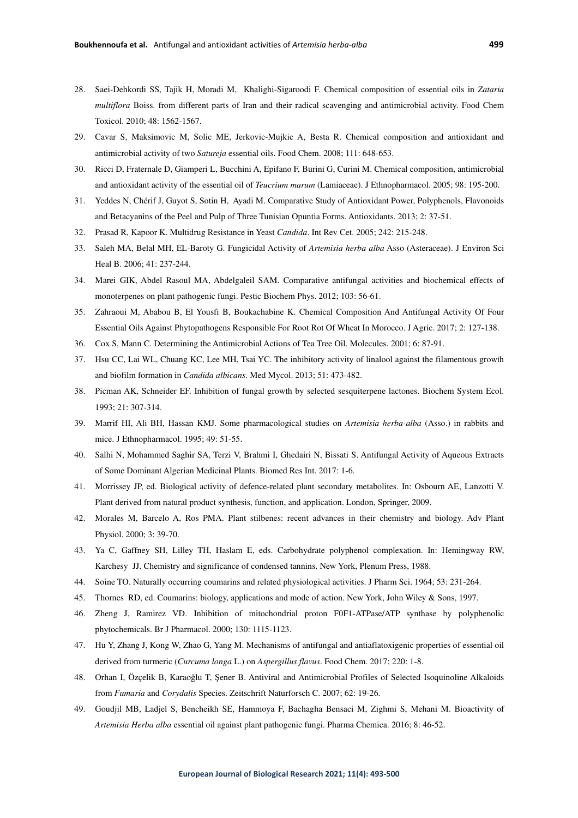- 28. Saei-Dehkordi SS, Tajik H, Moradi M, Khalighi-Sigaroodi F. Chemical composition of essential oils in *Zataria multiflora* Boiss. from different parts of Iran and their radical scavenging and antimicrobial activity. Food Chem Toxicol. 2010; 48: 1562-1567.
- 29. Cavar S, Maksimovic M, Solic ME, Jerkovic-Mujkic A, Besta R. Chemical composition and antioxidant and antimicrobial activity of two *Satureja* essential oils. Food Chem. 2008; 111: 648-653.
- 30. Ricci D, Fraternale D, Giamperi L, Bucchini A, Epifano F, Burini G, Curini M. Chemical composition, antimicrobial and antioxidant activity of the essential oil of *Teucrium marum* (Lamiaceae). J Ethnopharmacol. 2005; 98: 195-200.
- 31. Yeddes N, Chérif J, Guyot S, Sotin H, Ayadi M. Comparative Study of Antioxidant Power, Polyphenols, Flavonoids and Betacyanins of the Peel and Pulp of Three Tunisian Opuntia Forms. Antioxidants. 2013; 2: 37-51.
- 32. Prasad R, Kapoor K. Multidrug Resistance in Yeast *Candida*. Int Rev Cet. 2005; 242: 215-248.
- 33. Saleh MA, Belal MH, EL-Baroty G. Fungicidal Activity of *Artemisia herba alba* Asso (Asteraceae). J Environ Sci Heal B. 2006; 41: 237-244.
- 34. Marei GIK, Abdel Rasoul MA, Abdelgaleil SAM. Comparative antifungal activities and biochemical effects of monoterpenes on plant pathogenic fungi. Pestic Biochem Phys. 2012; 103: 56-61.
- 35. Zahraoui M, Ababou B, El Yousfi B, Boukachabine K. Chemical Composition And Antifungal Activity Of Four Essential Oils Against Phytopathogens Responsible For Root Rot Of Wheat In Morocco. J Agric. 2017; 2: 127-138.
- 36. Cox S, Mann C. Determining the Antimicrobial Actions of Tea Tree Oil. Molecules. 2001; 6: 87-91.
- 37. Hsu CC, Lai WL, Chuang KC, Lee MH, Tsai YC. The inhibitory activity of linalool against the filamentous growth and biofilm formation in *Candida albicans*. Med Mycol. 2013; 51: 473-482.
- 38. Picman AK, Schneider EF. Inhibition of fungal growth by selected sesquiterpene lactones. Biochem System Ecol. 1993; 21: 307-314.
- 39. Marrif HI, Ali BH, Hassan KMJ. Some pharmacological studies on *Artemisia herba-alba* (Asso.) in rabbits and mice. J Ethnopharmacol. 1995; 49: 51-55.
- 40. Salhi N, Mohammed Saghir SA, Terzi V, Brahmi I, Ghedairi N, Bissati S. Antifungal Activity of Aqueous Extracts of Some Dominant Algerian Medicinal Plants. Biomed Res Int. 2017: 1-6.
- 41. Morrissey JP, ed. Biological activity of defence-related plant secondary metabolites. In: Osbourn AE, Lanzotti V. Plant derived from natural product synthesis, function, and application. London, Springer, 2009.
- 42. Morales M, Barcelo A, Ros PMA. Plant stilbenes: recent advances in their chemistry and biology. Adv Plant Physiol. 2000; 3: 39-70.
- 43. Ya C, Gaffney SH, Lilley TH, Haslam E, eds. Carbohydrate polyphenol complexation. In: Hemingway RW, Karchesy JJ. Chemistry and significance of condensed tannins. New York, Plenum Press, 1988.
- 44. Soine TO. Naturally occurring coumarins and related physiological activities. J Pharm Sci. 1964; 53: 231-264.
- 45. Thornes RD, ed. Coumarins: biology, applications and mode of action. New York, John Wiley & Sons, 1997.
- 46. Zheng J, Ramirez VD. Inhibition of mitochondrial proton F0F1-ATPase/ATP synthase by polyphenolic phytochemicals. Br J Pharmacol. 2000; 130: 1115-1123.
- 47. Hu Y, Zhang J, Kong W, Zhao G, Yang M. Mechanisms of antifungal and antiaflatoxigenic properties of essential oil derived from turmeric (*Curcuma longa* L.) on *Aspergillus flavus*. Food Chem. 2017; 220: 1-8.
- 48. Orhan I, Özçelik B, Karaoğlu T, Şener B. Antiviral and Antimicrobial Profiles of Selected Isoquinoline Alkaloids from *Fumaria* and *Corydalis* Species. Zeitschrift Naturforsch C. 2007; 62: 19-26.
- 49. Goudjil MB, Ladjel S, Bencheikh SE, Hammoya F, Bachagha Bensaci M, Zighmi S, Mehani M. Bioactivity of *Artemisia Herba alba* essential oil against plant pathogenic fungi. Pharma Chemica. 2016; 8: 46-52.